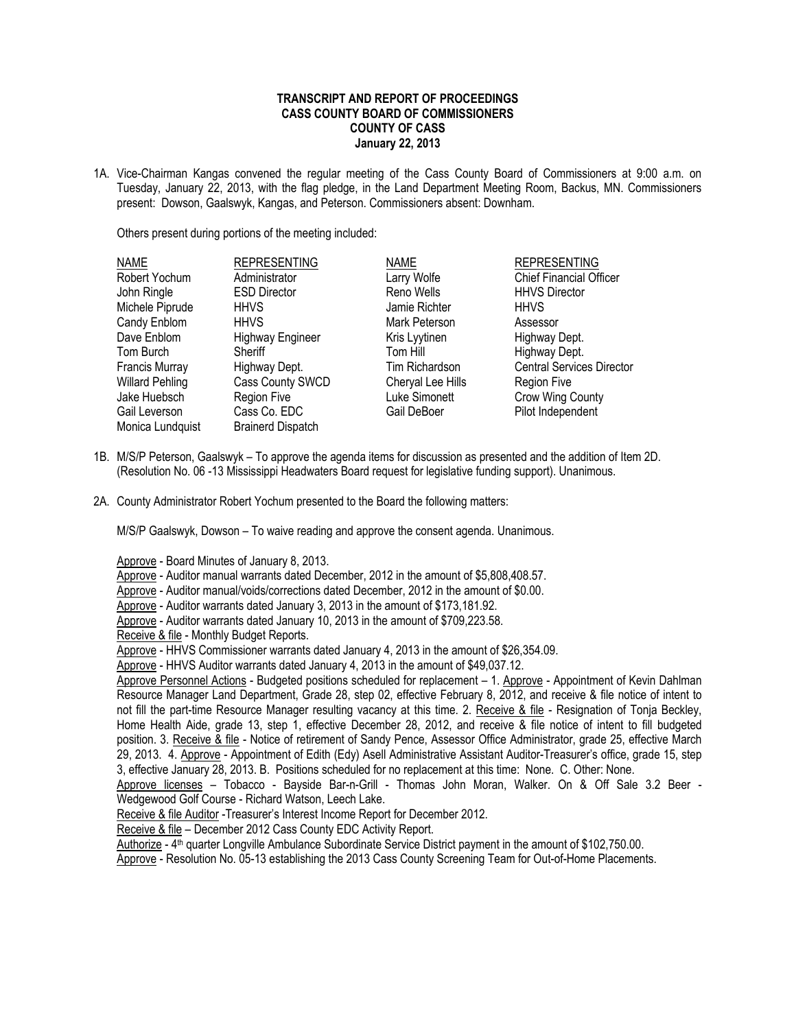## **TRANSCRIPT AND REPORT OF PROCEEDINGS CASS COUNTY BOARD OF COMMISSIONERS COUNTY OF CASS January 22, 2013**

1A. Vice-Chairman Kangas convened the regular meeting of the Cass County Board of Commissioners at 9:00 a.m. on Tuesday, January 22, 2013, with the flag pledge, in the Land Department Meeting Room, Backus, MN. Commissioners present: Dowson, Gaalswyk, Kangas, and Peterson. Commissioners absent: Downham.

Others present during portions of the meeting included:

| <b>NAME</b>            | <b>REPRESENTING</b>      | <b>NAME</b>       | <b>REPRESENTING</b>              |
|------------------------|--------------------------|-------------------|----------------------------------|
| Robert Yochum          | Administrator            | Larry Wolfe       | <b>Chief Financial Officer</b>   |
| John Ringle            | <b>ESD Director</b>      | Reno Wells        | <b>HHVS Director</b>             |
| Michele Piprude        | <b>HHVS</b>              | Jamie Richter     | <b>HHVS</b>                      |
| Candy Enblom           | <b>HHVS</b>              | Mark Peterson     | Assessor                         |
| Dave Enblom            | <b>Highway Engineer</b>  | Kris Lyytinen     | Highway Dept.                    |
| Tom Burch              | Sheriff                  | Tom Hill          | Highway Dept.                    |
| Francis Murray         | Highway Dept.            | Tim Richardson    | <b>Central Services Director</b> |
| <b>Willard Pehling</b> | Cass County SWCD         | Cheryal Lee Hills | <b>Region Five</b>               |
| Jake Huebsch           | <b>Region Five</b>       | Luke Simonett     | Crow Wing County                 |
| Gail Leverson          | Cass Co. EDC             | Gail DeBoer       | Pilot Independent                |
| Monica Lundquist       | <b>Brainerd Dispatch</b> |                   |                                  |

- 1B. M/S/P Peterson, Gaalswyk To approve the agenda items for discussion as presented and the addition of Item 2D. (Resolution No. 06 -13 Mississippi Headwaters Board request for legislative funding support). Unanimous.
- 2A. County Administrator Robert Yochum presented to the Board the following matters:

M/S/P Gaalswyk, Dowson – To waive reading and approve the consent agenda. Unanimous.

Approve - Board Minutes of January 8, 2013.

Approve - Auditor manual warrants dated December, 2012 in the amount of \$5,808,408.57.

Approve - Auditor manual/voids/corrections dated December, 2012 in the amount of \$0.00.

Approve - Auditor warrants dated January 3, 2013 in the amount of \$173,181.92.

Approve - Auditor warrants dated January 10, 2013 in the amount of \$709,223.58.

Receive & file - Monthly Budget Reports.

Approve - HHVS Commissioner warrants dated January 4, 2013 in the amount of \$26,354.09.

Approve - HHVS Auditor warrants dated January 4, 2013 in the amount of \$49,037.12.

Approve Personnel Actions - Budgeted positions scheduled for replacement – 1. Approve - Appointment of Kevin Dahlman Resource Manager Land Department, Grade 28, step 02, effective February 8, 2012, and receive & file notice of intent to not fill the part-time Resource Manager resulting vacancy at this time. 2. Receive & file - Resignation of Tonja Beckley, Home Health Aide, grade 13, step 1, effective December 28, 2012, and receive & file notice of intent to fill budgeted position. 3. Receive & file - Notice of retirement of Sandy Pence, Assessor Office Administrator, grade 25, effective March 29, 2013. 4. Approve - Appointment of Edith (Edy) Asell Administrative Assistant Auditor-Treasurer's office, grade 15, step 3, effective January 28, 2013. B. Positions scheduled for no replacement at this time: None. C. Other: None.

Approve licenses – Tobacco - Bayside Bar-n-Grill - Thomas John Moran, Walker. On & Off Sale 3.2 Beer - Wedgewood Golf Course - Richard Watson, Leech Lake.

Receive & file Auditor - Treasurer's Interest Income Report for December 2012.

Receive & file – December 2012 Cass County EDC Activity Report.

Authorize - 4<sup>th</sup> quarter Longville Ambulance Subordinate Service District payment in the amount of \$102,750.00.

Approve - Resolution No. 05-13 establishing the 2013 Cass County Screening Team for Out-of-Home Placements.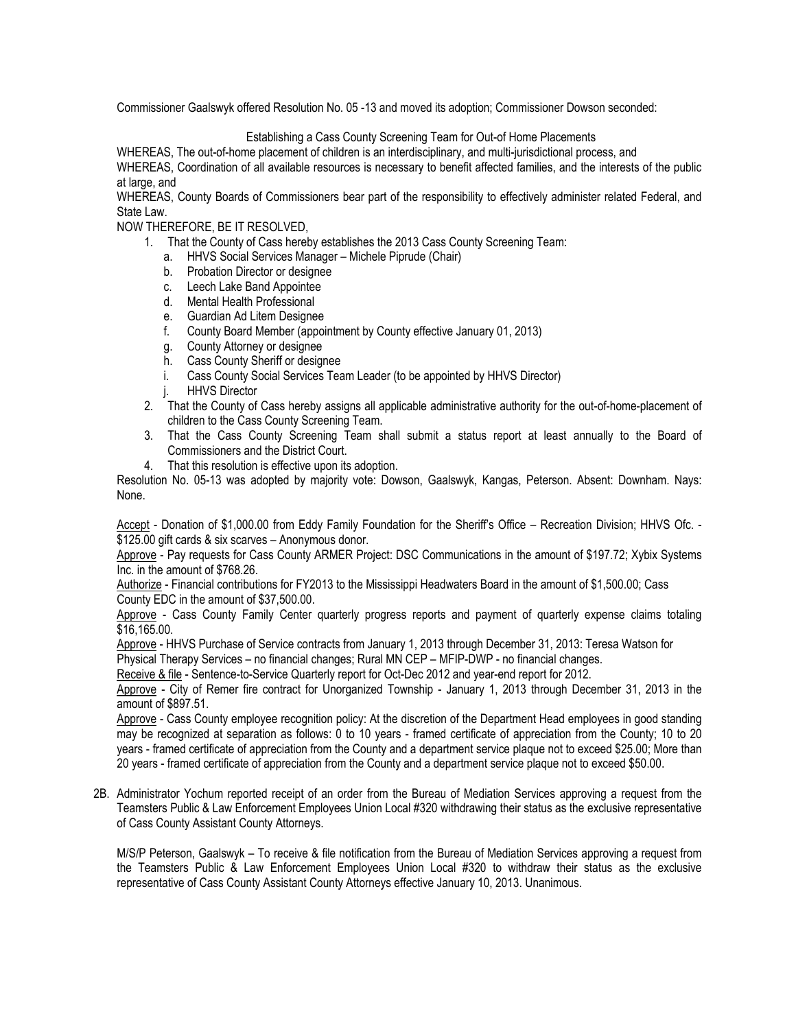Commissioner Gaalswyk offered Resolution No. 05 -13 and moved its adoption; Commissioner Dowson seconded:

Establishing a Cass County Screening Team for Out-of Home Placements

WHEREAS, The out-of-home placement of children is an interdisciplinary, and multi-jurisdictional process, and

WHEREAS, Coordination of all available resources is necessary to benefit affected families, and the interests of the public at large, and

WHEREAS, County Boards of Commissioners bear part of the responsibility to effectively administer related Federal, and State Law.

NOW THEREFORE, BE IT RESOLVED,

- 1. That the County of Cass hereby establishes the 2013 Cass County Screening Team:
	- a. HHVS Social Services Manager Michele Piprude (Chair)
	- b. Probation Director or designee
	- c. Leech Lake Band Appointee
	- d. Mental Health Professional
	- e. Guardian Ad Litem Designee
	- f. County Board Member (appointment by County effective January 01, 2013)
	- g. County Attorney or designee
	- h. Cass County Sheriff or designee
	- i. Cass County Social Services Team Leader (to be appointed by HHVS Director)
	- j. HHVS Director
- 2. That the County of Cass hereby assigns all applicable administrative authority for the out-of-home-placement of children to the Cass County Screening Team.
- 3. That the Cass County Screening Team shall submit a status report at least annually to the Board of Commissioners and the District Court.
- 4. That this resolution is effective upon its adoption.

Resolution No. 05-13 was adopted by majority vote: Dowson, Gaalswyk, Kangas, Peterson. Absent: Downham. Nays: None.

Accept - Donation of \$1,000.00 from Eddy Family Foundation for the Sheriff's Office – Recreation Division; HHVS Ofc. - \$125.00 gift cards & six scarves – Anonymous donor.

Approve - Pay requests for Cass County ARMER Project: DSC Communications in the amount of \$197.72; Xybix Systems Inc. in the amount of \$768.26.

Authorize - Financial contributions for FY2013 to the Mississippi Headwaters Board in the amount of \$1,500.00; Cass County EDC in the amount of \$37,500.00.

Approve - Cass County Family Center quarterly progress reports and payment of quarterly expense claims totaling \$16,165.00.

Approve - HHVS Purchase of Service contracts from January 1, 2013 through December 31, 2013: Teresa Watson for Physical Therapy Services – no financial changes; Rural MN CEP – MFIP-DWP - no financial changes.

Receive & file - Sentence-to-Service Quarterly report for Oct-Dec 2012 and year-end report for 2012.

Approve - City of Remer fire contract for Unorganized Township - January 1, 2013 through December 31, 2013 in the amount of \$897.51.

Approve - Cass County employee recognition policy: At the discretion of the Department Head employees in good standing may be recognized at separation as follows: 0 to 10 years - framed certificate of appreciation from the County; 10 to 20 years - framed certificate of appreciation from the County and a department service plaque not to exceed \$25.00; More than 20 years - framed certificate of appreciation from the County and a department service plaque not to exceed \$50.00.

2B. Administrator Yochum reported receipt of an order from the Bureau of Mediation Services approving a request from the Teamsters Public & Law Enforcement Employees Union Local #320 withdrawing their status as the exclusive representative of Cass County Assistant County Attorneys.

M/S/P Peterson, Gaalswyk – To receive & file notification from the Bureau of Mediation Services approving a request from the Teamsters Public & Law Enforcement Employees Union Local #320 to withdraw their status as the exclusive representative of Cass County Assistant County Attorneys effective January 10, 2013. Unanimous.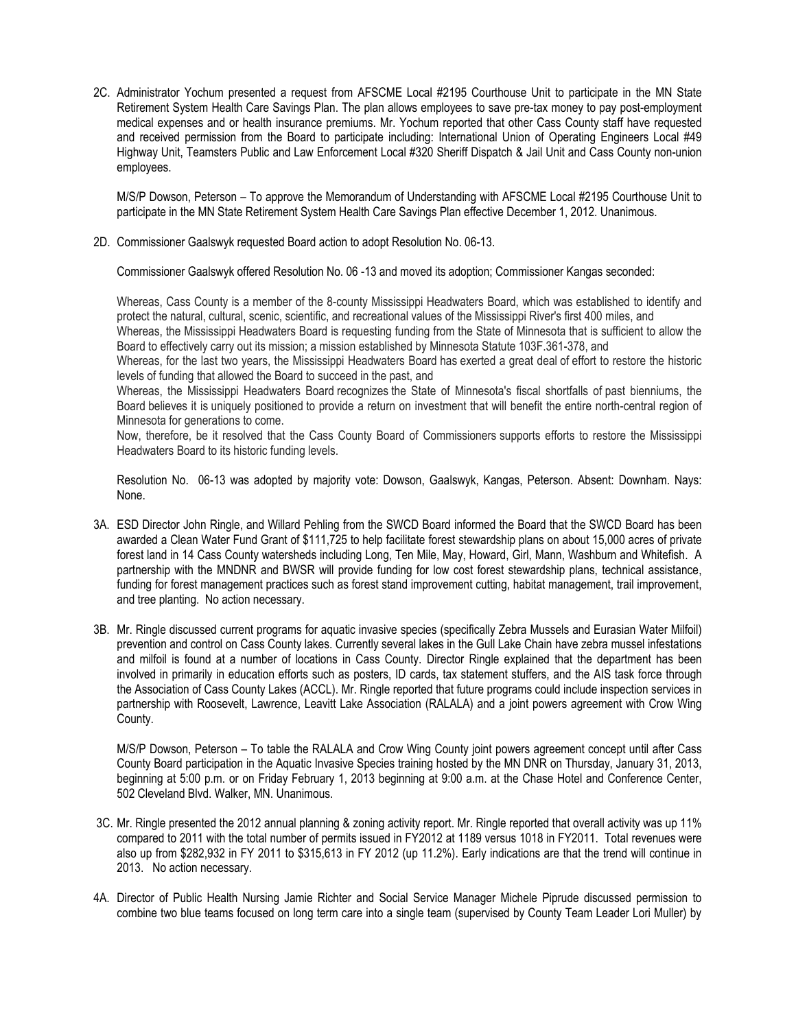2C. Administrator Yochum presented a request from AFSCME Local #2195 Courthouse Unit to participate in the MN State Retirement System Health Care Savings Plan. The plan allows employees to save pre-tax money to pay post-employment medical expenses and or health insurance premiums. Mr. Yochum reported that other Cass County staff have requested and received permission from the Board to participate including: International Union of Operating Engineers Local #49 Highway Unit, Teamsters Public and Law Enforcement Local #320 Sheriff Dispatch & Jail Unit and Cass County non-union employees.

M/S/P Dowson, Peterson – To approve the Memorandum of Understanding with AFSCME Local #2195 Courthouse Unit to participate in the MN State Retirement System Health Care Savings Plan effective December 1, 2012. Unanimous.

2D. Commissioner Gaalswyk requested Board action to adopt Resolution No. 06-13.

Commissioner Gaalswyk offered Resolution No. 06 -13 and moved its adoption; Commissioner Kangas seconded:

Whereas, Cass County is a member of the 8-county Mississippi Headwaters Board, which was established to identify and protect the natural, cultural, scenic, scientific, and recreational values of the Mississippi River's first 400 miles, and Whereas, the Mississippi Headwaters Board is requesting funding from the State of Minnesota that is sufficient to allow the

Board to effectively carry out its mission; a mission established by Minnesota Statute 103F.361-378, and

Whereas, for the last two years, the Mississippi Headwaters Board has exerted a great deal of effort to restore the historic levels of funding that allowed the Board to succeed in the past, and

Whereas, the Mississippi Headwaters Board recognizes the State of Minnesota's fiscal shortfalls of past bienniums, the Board believes it is uniquely positioned to provide a return on investment that will benefit the entire north-central region of Minnesota for generations to come.

Now, therefore, be it resolved that the Cass County Board of Commissioners supports efforts to restore the Mississippi Headwaters Board to its historic funding levels.

Resolution No. 06-13 was adopted by majority vote: Dowson, Gaalswyk, Kangas, Peterson. Absent: Downham. Nays: None.

- 3A. ESD Director John Ringle, and Willard Pehling from the SWCD Board informed the Board that the SWCD Board has been awarded a Clean Water Fund Grant of \$111,725 to help facilitate forest stewardship plans on about 15,000 acres of private forest land in 14 Cass County watersheds including Long, Ten Mile, May, Howard, Girl, Mann, Washburn and Whitefish. A partnership with the MNDNR and BWSR will provide funding for low cost forest stewardship plans, technical assistance, funding for forest management practices such as forest stand improvement cutting, habitat management, trail improvement, and tree planting. No action necessary.
- 3B. Mr. Ringle discussed current programs for aquatic invasive species (specifically Zebra Mussels and Eurasian Water Milfoil) prevention and control on Cass County lakes. Currently several lakes in the Gull Lake Chain have zebra mussel infestations and milfoil is found at a number of locations in Cass County. Director Ringle explained that the department has been involved in primarily in education efforts such as posters, ID cards, tax statement stuffers, and the AIS task force through the Association of Cass County Lakes (ACCL). Mr. Ringle reported that future programs could include inspection services in partnership with Roosevelt, Lawrence, Leavitt Lake Association (RALALA) and a joint powers agreement with Crow Wing County.

M/S/P Dowson, Peterson – To table the RALALA and Crow Wing County joint powers agreement concept until after Cass County Board participation in the Aquatic Invasive Species training hosted by the MN DNR on Thursday, January 31, 2013, beginning at 5:00 p.m. or on Friday February 1, 2013 beginning at 9:00 a.m. at the Chase Hotel and Conference Center, 502 Cleveland Blvd. Walker, MN. Unanimous.

- 3C. Mr. Ringle presented the 2012 annual planning & zoning activity report. Mr. Ringle reported that overall activity was up 11% compared to 2011 with the total number of permits issued in FY2012 at 1189 versus 1018 in FY2011. Total revenues were also up from \$282,932 in FY 2011 to \$315,613 in FY 2012 (up 11.2%). Early indications are that the trend will continue in 2013. No action necessary.
- 4A. Director of Public Health Nursing Jamie Richter and Social Service Manager Michele Piprude discussed permission to combine two blue teams focused on long term care into a single team (supervised by County Team Leader Lori Muller) by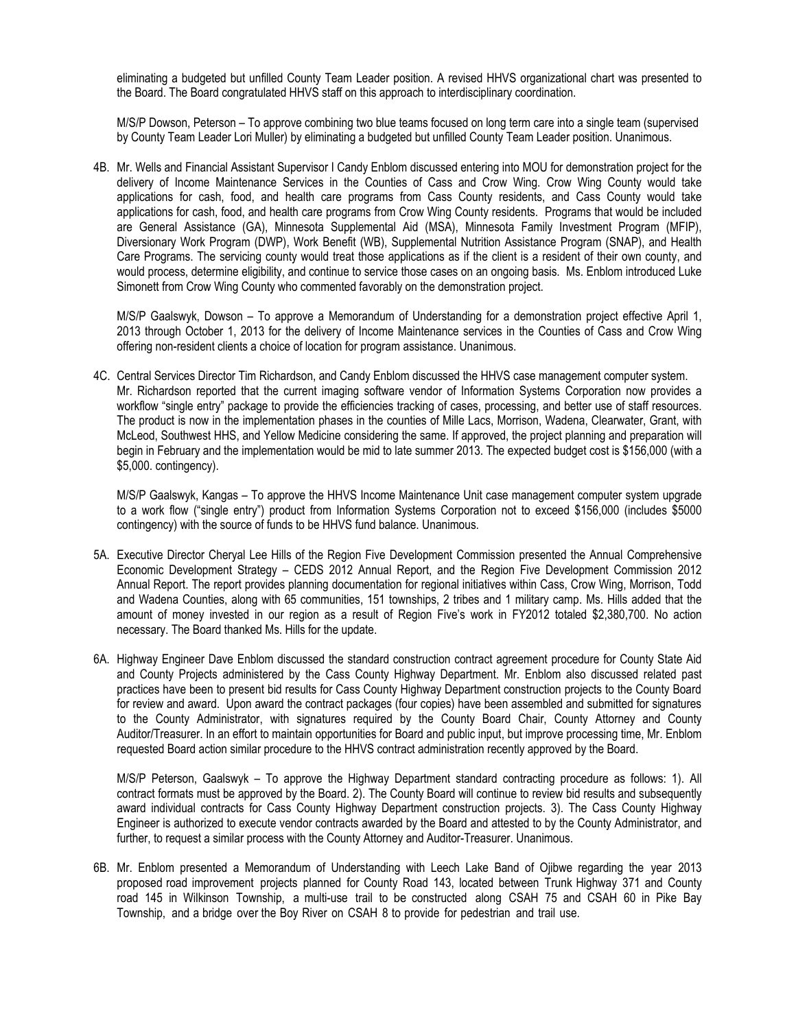eliminating a budgeted but unfilled County Team Leader position. A revised HHVS organizational chart was presented to the Board. The Board congratulated HHVS staff on this approach to interdisciplinary coordination.

M/S/P Dowson, Peterson – To approve combining two blue teams focused on long term care into a single team (supervised by County Team Leader Lori Muller) by eliminating a budgeted but unfilled County Team Leader position. Unanimous.

4B. Mr. Wells and Financial Assistant Supervisor I Candy Enblom discussed entering into MOU for demonstration project for the delivery of Income Maintenance Services in the Counties of Cass and Crow Wing. Crow Wing County would take applications for cash, food, and health care programs from Cass County residents, and Cass County would take applications for cash, food, and health care programs from Crow Wing County residents. Programs that would be included are General Assistance (GA), Minnesota Supplemental Aid (MSA), Minnesota Family Investment Program (MFIP), Diversionary Work Program (DWP), Work Benefit (WB), Supplemental Nutrition Assistance Program (SNAP), and Health Care Programs. The servicing county would treat those applications as if the client is a resident of their own county, and would process, determine eligibility, and continue to service those cases on an ongoing basis. Ms. Enblom introduced Luke Simonett from Crow Wing County who commented favorably on the demonstration project.

M/S/P Gaalswyk, Dowson – To approve a Memorandum of Understanding for a demonstration project effective April 1, 2013 through October 1, 2013 for the delivery of Income Maintenance services in the Counties of Cass and Crow Wing offering non-resident clients a choice of location for program assistance. Unanimous.

4C. Central Services Director Tim Richardson, and Candy Enblom discussed the HHVS case management computer system. Mr. Richardson reported that the current imaging software vendor of Information Systems Corporation now provides a workflow "single entry" package to provide the efficiencies tracking of cases, processing, and better use of staff resources. The product is now in the implementation phases in the counties of Mille Lacs, Morrison, Wadena, Clearwater, Grant, with McLeod, Southwest HHS, and Yellow Medicine considering the same. If approved, the project planning and preparation will begin in February and the implementation would be mid to late summer 2013. The expected budget cost is \$156,000 (with a \$5,000. contingency).

M/S/P Gaalswyk, Kangas – To approve the HHVS Income Maintenance Unit case management computer system upgrade to a work flow ("single entry") product from Information Systems Corporation not to exceed \$156,000 (includes \$5000 contingency) with the source of funds to be HHVS fund balance. Unanimous.

- 5A. Executive Director Cheryal Lee Hills of the Region Five Development Commission presented the Annual Comprehensive Economic Development Strategy – CEDS 2012 Annual Report, and the Region Five Development Commission 2012 Annual Report. The report provides planning documentation for regional initiatives within Cass, Crow Wing, Morrison, Todd and Wadena Counties, along with 65 communities, 151 townships, 2 tribes and 1 military camp. Ms. Hills added that the amount of money invested in our region as a result of Region Five's work in FY2012 totaled \$2,380,700. No action necessary. The Board thanked Ms. Hills for the update.
- 6A. Highway Engineer Dave Enblom discussed the standard construction contract agreement procedure for County State Aid and County Projects administered by the Cass County Highway Department. Mr. Enblom also discussed related past practices have been to present bid results for Cass County Highway Department construction projects to the County Board for review and award. Upon award the contract packages (four copies) have been assembled and submitted for signatures to the County Administrator, with signatures required by the County Board Chair, County Attorney and County Auditor/Treasurer. In an effort to maintain opportunities for Board and public input, but improve processing time, Mr. Enblom requested Board action similar procedure to the HHVS contract administration recently approved by the Board.

M/S/P Peterson, Gaalswyk – To approve the Highway Department standard contracting procedure as follows: 1). All contract formats must be approved by the Board. 2). The County Board will continue to review bid results and subsequently award individual contracts for Cass County Highway Department construction projects. 3). The Cass County Highway Engineer is authorized to execute vendor contracts awarded by the Board and attested to by the County Administrator, and further, to request a similar process with the County Attorney and Auditor-Treasurer. Unanimous.

6B. Mr. Enblom presented a Memorandum of Understanding with Leech Lake Band of Ojibwe regarding the year 2013 proposed road improvement projects planned for County Road 143, located between Trunk Highway 371 and County road 145 in Wilkinson Township, a multi-use trail to be constructed along CSAH 75 and CSAH 60 in Pike Bay Township, and a bridge over the Boy River on CSAH 8 to provide for pedestrian and trail use.